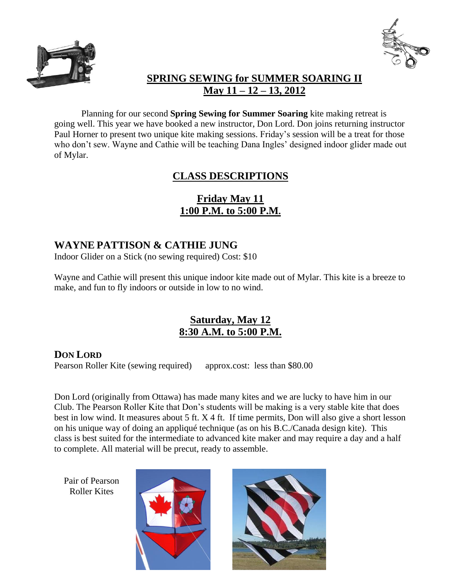



## **SPRING SEWING for SUMMER SOARING II May 11 – 12 – 13, 2012**

Planning for our second **Spring Sewing for Summer Soaring** kite making retreat is going well. This year we have booked a new instructor, Don Lord. Don joins returning instructor Paul Horner to present two unique kite making sessions. Friday's session will be a treat for those who don't sew. Wayne and Cathie will be teaching Dana Ingles' designed indoor glider made out of Mylar.

# **CLASS DESCRIPTIONS**

# **Friday May 11 1:00 P.M. to 5:00 P.M.**

### **WAYNE PATTISON & CATHIE JUNG**

Indoor Glider on a Stick (no sewing required) Cost: \$10

Wayne and Cathie will present this unique indoor kite made out of Mylar. This kite is a breeze to make, and fun to fly indoors or outside in low to no wind.

## **Saturday, May 12 8:30 A.M. to 5:00 P.M.**

#### **DON LORD**

Pearson Roller Kite (sewing required) approx.cost: less than \$80.00

Don Lord (originally from Ottawa) has made many kites and we are lucky to have him in our Club. The Pearson Roller Kite that Don's students will be making is a very stable kite that does best in low wind. It measures about 5 ft. X 4 ft. If time permits, Don will also give a short lesson on his unique way of doing an appliqué technique (as on his B.C./Canada design kite). This class is best suited for the intermediate to advanced kite maker and may require a day and a half to complete. All material will be precut, ready to assemble.

Pair of Pearson Roller Kites



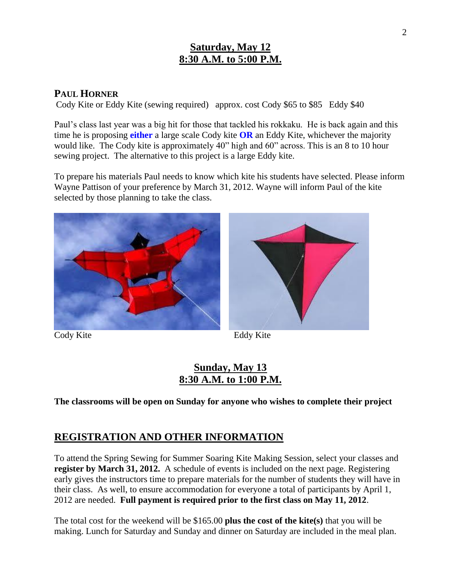### **Saturday, May 12 8:30 A.M. to 5:00 P.M.**

#### **PAUL HORNER**

Cody Kite or Eddy Kite (sewing required) approx. cost Cody \$65 to \$85 Eddy \$40

Paul's class last year was a big hit for those that tackled his rokkaku. He is back again and this time he is proposing **either** a large scale Cody kite **OR** an Eddy Kite, whichever the majority would like. The Cody kite is approximately 40" high and 60" across. This is an 8 to 10 hour sewing project. The alternative to this project is a large Eddy kite.

To prepare his materials Paul needs to know which kite his students have selected. Please inform Wayne Pattison of your preference by March 31, 2012. Wayne will inform Paul of the kite selected by those planning to take the class.



Cody Kite Eddy Kite



### **Sunday, May 13 8:30 A.M. to 1:00 P.M.**

**The classrooms will be open on Sunday for anyone who wishes to complete their project**

#### **REGISTRATION AND OTHER INFORMATION**

To attend the Spring Sewing for Summer Soaring Kite Making Session, select your classes and **register by March 31, 2012.** A schedule of events is included on the next page. Registering early gives the instructors time to prepare materials for the number of students they will have in their class. As well, to ensure accommodation for everyone a total of participants by April 1, 2012 are needed. **Full payment is required prior to the first class on May 11, 2012**.

The total cost for the weekend will be \$165.00 **plus the cost of the kite(s)** that you will be making. Lunch for Saturday and Sunday and dinner on Saturday are included in the meal plan.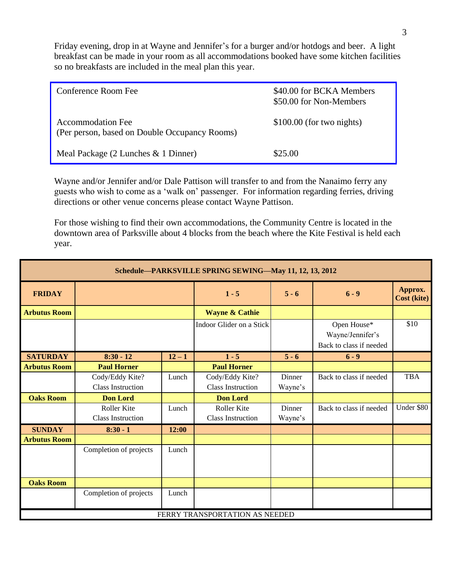Friday evening, drop in at Wayne and Jennifer's for a burger and/or hotdogs and beer. A light breakfast can be made in your room as all accommodations booked have some kitchen facilities so no breakfasts are included in the meal plan this year.

| Conference Room Fee                                                       | \$40.00 for BCKA Members<br>\$50.00 for Non-Members |
|---------------------------------------------------------------------------|-----------------------------------------------------|
| <b>Accommodation Fee</b><br>(Per person, based on Double Occupancy Rooms) | $$100.00$ (for two nights)                          |
| Meal Package (2 Lunches & 1 Dinner)                                       | \$25.00                                             |

Wayne and/or Jennifer and/or Dale Pattison will transfer to and from the Nanaimo ferry any guests who wish to come as a 'walk on' passenger. For information regarding ferries, driving directions or other venue concerns please contact Wayne Pattison.

For those wishing to find their own accommodations, the Community Centre is located in the downtown area of Parksville about 4 blocks from the beach where the Kite Festival is held each year.

| Schedule-PARKSVILLE SPRING SEWING-May 11, 12, 13, 2012 |                                                |          |                                                |                   |                                                            |                        |  |  |
|--------------------------------------------------------|------------------------------------------------|----------|------------------------------------------------|-------------------|------------------------------------------------------------|------------------------|--|--|
| <b>FRIDAY</b>                                          |                                                |          | $1 - 5$                                        | $5 - 6$           | $6 - 9$                                                    | Approx.<br>Cost (kite) |  |  |
| <b>Arbutus Room</b>                                    |                                                |          | <b>Wayne &amp; Cathie</b>                      |                   |                                                            |                        |  |  |
|                                                        |                                                |          | Indoor Glider on a Stick                       |                   | Open House*<br>Wayne/Jennifer's<br>Back to class if needed | \$10                   |  |  |
| <b>SATURDAY</b>                                        | $8:30 - 12$                                    | $12 - 1$ | $1 - 5$                                        | $5 - 6$           | $6 - 9$                                                    |                        |  |  |
| <b>Arbutus Room</b>                                    | <b>Paul Horner</b>                             |          | <b>Paul Horner</b>                             |                   |                                                            |                        |  |  |
|                                                        | Cody/Eddy Kite?<br><b>Class Instruction</b>    | Lunch    | Cody/Eddy Kite?<br><b>Class Instruction</b>    | Dinner<br>Wayne's | Back to class if needed                                    | <b>TBA</b>             |  |  |
| <b>Oaks Room</b>                                       | <b>Don Lord</b>                                |          | <b>Don Lord</b>                                |                   |                                                            |                        |  |  |
|                                                        | <b>Roller Kite</b><br><b>Class Instruction</b> | Lunch    | <b>Roller Kite</b><br><b>Class Instruction</b> | Dinner<br>Wayne's | Back to class if needed                                    | Under \$80             |  |  |
| <b>SUNDAY</b>                                          | $8:30 - 1$                                     | 12:00    |                                                |                   |                                                            |                        |  |  |
| <b>Arbutus Room</b>                                    |                                                |          |                                                |                   |                                                            |                        |  |  |
|                                                        | Completion of projects                         | Lunch    |                                                |                   |                                                            |                        |  |  |
| <b>Oaks Room</b>                                       |                                                |          |                                                |                   |                                                            |                        |  |  |
|                                                        | Completion of projects                         | Lunch    |                                                |                   |                                                            |                        |  |  |
|                                                        |                                                |          | FERRY TRANSPORTATION AS NEEDED                 |                   |                                                            |                        |  |  |